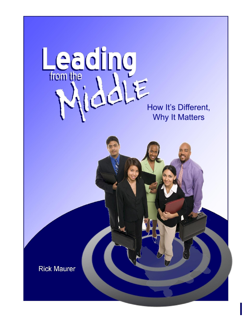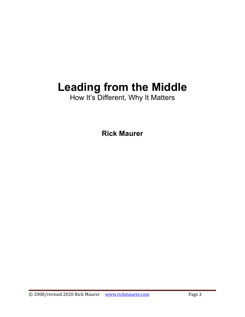# **Leading from the Middle**

How It's Different, Why It Matters

**Rick Maurer**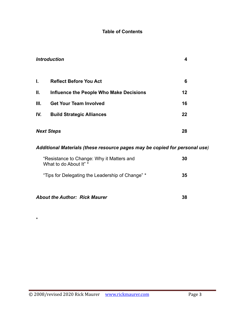#### **Table of Contents**

| <b>Introduction</b> | 4                                       |    |
|---------------------|-----------------------------------------|----|
| L.                  | <b>Reflect Before You Act</b>           | 6  |
| Ш.                  | Influence the People Who Make Decisions | 12 |
| III.                | <b>Get Your Team Involved</b>           | 16 |
| IV.                 | <b>Build Strategic Alliances</b>        | 22 |
| <b>Next Steps</b>   | 28                                      |    |

### *Additional Materials (these resource pages may be copied for personal use)*

| "Resistance to Change: Why it Matters and<br>What to do About It" * | 30 |
|---------------------------------------------------------------------|----|
| "Tips for Delegating the Leadership of Change" *                    | 35 |

| <b>About the Author: Rick Maurer</b> |  |
|--------------------------------------|--|
|--------------------------------------|--|

\*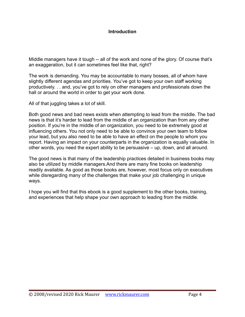#### **Introduction**

Middle managers have it tough -- all of the work and none of the glory. Of course that's an exaggeration, but it can sometimes feel like that, right?

The work is demanding. You may be accountable to many bosses, all of whom have slightly different agendas and priorities. You've got to keep your own staff working productively. . . and, you've got to rely on other managers and professionals down the hall or around the world in order to get your work done.

All of that juggling takes a lot of skill.

Both good news and bad news exists when attempting to lead from the middle. The bad news is that it's harder to lead from the middle of an organization than from any other position. If you're in the middle of an organization, you need to be extremely good at influencing others. You not only need to be able to convince your own team to follow your lead, but you also need to be able to have an effect on the people to whom you report. Having an impact on your counterparts in the organization is equally valuable. In other words, you need the expert ability to be persuasive – up, down, and all around.

The good news is that many of the leadership practices detailed in business books may also be utilized by middle managers.And there are many fine books on leadership readily available. As good as those books are, however, most focus only on executives while disregarding many of the challenges that make your job challenging in unique ways.

I hope you will find that this ebook is a good supplement to the other books, training, and experiences that help shape your own approach to leading from the middle.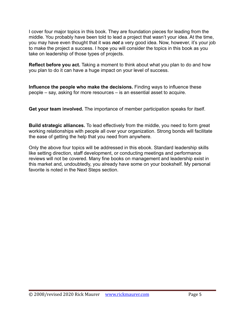I cover four major topics in this book. They are foundation pieces for leading from the middle. You probably have been told to lead a project that wasn't your idea. At the time, you may have even thought that it was *not* a very good idea. Now, however, it's your job to make the project a success. I hope you will consider the topics in this book as you take on leadership of those types of projects.

**Reflect before you act.** Taking a moment to think about what you plan to do and how you plan to do it can have a huge impact on your level of success.

**Influence the people who make the decisions.** Finding ways to influence these people – say, asking for more resources – is an essential asset to acquire.

**Get your team involved.** The importance of member participation speaks for itself.

**Build strategic alliances.** To lead effectively from the middle, you need to form great working relationships with people all over your organization. Strong bonds will facilitate the ease of getting the help that you need from anywhere.

Only the above four topics will be addressed in this ebook. Standard leadership skills like setting direction, staff development, or conducting meetings and performance reviews will not be covered. Many fine books on management and leadership exist in this market and, undoubtedly, you already have some on your bookshelf. My personal favorite is noted in the Next Steps section.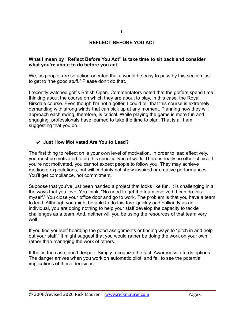#### **I.**

#### **REFLECT BEFORE YOU ACT**

#### **What I mean by "Reflect Before You Act" is take time to sit back and consider what you're about to do before you act.**

We, as people, are so action-oriented that it would be easy to pass by this section just to get to "the good stuff." Please don't do that.

I recently watched golf's British Open. Commentators noted that the golfers spend time thinking about the course on which they are about to play, in this case, the Royal Birkdale course. Even though I'm not a golfer, I could tell that this course is extremely demanding with strong winds that can pick up at any moment. Planning how they will approach each swing, therefore, is critical. While playing the game is more fun and engaging, professionals have learned to take the time to plan. That is all I am suggesting that you do.

#### ✔ **Just How Motivated Are You to Lead?**

The first thing to reflect on is your own level of motivation. In order to lead effectively, you must be motivated to do this specific type of work. There is really no other choice. If you're not motivated, you cannot expect people to follow you. They may achieve mediocre expectations, but will certainly not show inspired or creative performances. You'll get compliance, not commitment.

Suppose that you've just been handed a project that looks like fun. It is challenging in all the ways that you love. You think, "No need to get the team involved, I can do this myself." You close your office door and go to work. The problem is that you have a team to lead. Although you might be able to do this task quickly and brilliantly as an individual, you are doing nothing to help your staff develop the capacity to tackle challenges as a team. And, neither will you be using the resources of that team very well.

If you find yourself hoarding the good assignments or finding ways to "pitch in and help out your staff," it might suggest that you would rather be doing the work on your own rather than managing the work of others.

If that is the case, don't despair. Simply recognize the fact. Awareness affords options. The danger arrives when you work on automatic pilot, and fail to see the potential implications of these decisions.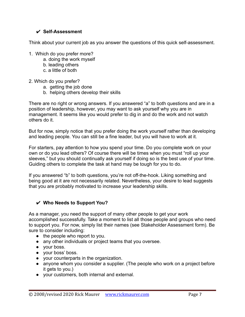#### ✔ **Self-Assessment**

Think about your current job as you answer the questions of this quick self-assessment.

- 1. Which do you prefer more?
	- a. doing the work myself
	- b. leading others
	- c. a little of both
- 2. Which do you prefer?
	- a. getting the job done
	- b. helping others develop their skills

There are no right or wrong answers. If you answered "a" to both questions and are in a position of leadership, however, you may want to ask yourself why you are in management. It seems like you would prefer to dig in and do the work and not watch others do it.

But for now, simply notice that you prefer doing the work yourself rather than developing and leading people. You can still be a fine leader, but you will have to work at it.

For starters, pay attention to how you spend your time. Do you complete work on your own or do you lead others? Of course there will be times when you must "roll up your sleeves," but you should continually ask yourself if doing so is the best use of your time. Guiding others to complete the task at hand may be tough for you to do.

If you answered "b" to both questions, you're not off-the-hook. Liking something and being good at it are not necessarily related. Nevertheless, your desire to lead suggests that you are probably motivated to increase your leadership skills.

#### ✔ **Who Needs to Support You?**

As a manager, you need the support of many other people to get your work accomplished successfully. Take a moment to list all those people and groups who need to support you. For now, simply list their names (see Stakeholder Assessment form). Be sure to consider including:

- $\bullet$  the people who report to you.
- any other individuals or project teams that you oversee.
- your boss.
- your boss' boss.
- your counterparts in the organization.
- anyone whom you consider a supplier. (The people who work on a project before it gets to you.)
- your customers, both internal and external.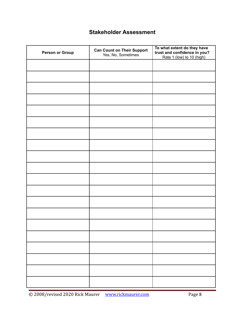## **Stakeholder Assessment**

| <b>Person or Group</b> | <b>Can Count on Their Support</b><br>Yes, No, Sometimes | To what extent do they have<br>trust and confidence in you?<br>Rate 1 (low) to 10 (high) |  |  |  |
|------------------------|---------------------------------------------------------|------------------------------------------------------------------------------------------|--|--|--|
|                        |                                                         |                                                                                          |  |  |  |
|                        |                                                         |                                                                                          |  |  |  |
|                        |                                                         |                                                                                          |  |  |  |
|                        |                                                         |                                                                                          |  |  |  |
|                        |                                                         |                                                                                          |  |  |  |
|                        |                                                         |                                                                                          |  |  |  |
|                        |                                                         |                                                                                          |  |  |  |
|                        |                                                         |                                                                                          |  |  |  |
|                        |                                                         |                                                                                          |  |  |  |
|                        |                                                         |                                                                                          |  |  |  |
|                        |                                                         |                                                                                          |  |  |  |
|                        |                                                         |                                                                                          |  |  |  |
|                        |                                                         |                                                                                          |  |  |  |
|                        |                                                         |                                                                                          |  |  |  |
|                        |                                                         |                                                                                          |  |  |  |
|                        |                                                         |                                                                                          |  |  |  |
|                        |                                                         |                                                                                          |  |  |  |
|                        |                                                         |                                                                                          |  |  |  |
|                        |                                                         |                                                                                          |  |  |  |
|                        |                                                         |                                                                                          |  |  |  |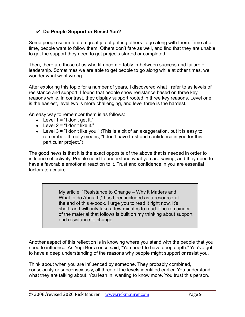#### ✔ **Do People Support or Resist You?**

Some people seem to do a great job of getting others to go along with them. Time after time, people want to follow them. Others don't fare as well, and find that they are unable to get the support they need to get projects started or completed.

Then, there are those of us who fit uncomfortably in-between success and failure of leadership. Sometimes we are able to get people to go along while at other times, we wonder what went wrong.

After exploring this topic for a number of years, I discovered what I refer to as levels of resistance and support. I found that people show resistance based on three key reasons while, in contrast, they display support rooted in three key reasons. Level one is the easiest, level two is more challenging, and level three is the hardest.

An easy way to remember them is as follows:

- $\bullet$  Level 1 = "I don't get it."
- $\bullet$  Level 2 = "I don't like it."
- **•** Level  $3 = 1$  don't like you." (This is a bit of an exaggeration, but it is easy to remember. It really means, "I don't have trust and confidence in you for this particular project.")

The good news is that it is the exact opposite of the above that is needed in order to influence effectively. People need to understand what you are saying, and they need to have a favorable emotional reaction to it. Trust and confidence in you are essential factors to acquire.

> My article, "Resistance to Change – Why it Matters and What to do About It," has been included as a resource at the end of this e-book. I urge you to read it right now. It's short, and will only take a few minutes to read. The remainder of the material that follows is built on my thinking about support and resistance to change.

Another aspect of this reflection is in knowing where you stand with the people that you need to influence. As Yogi Berra once said, "You need to have deep depth." You've got to have a deep understanding of the reasons why people might support or resist you.

Think about when you are influenced by someone. They probably combined, consciously or subconsciously, all three of the levels identified earlier. You understand what they are talking about. You lean in, wanting to know more. You trust this person.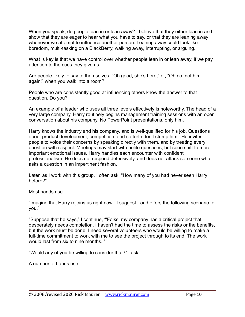When you speak, do people lean in or lean away? I believe that they either lean in and show that they are eager to hear what you have to say, or that they are leaning away whenever we attempt to influence another person. Leaning away could look like boredom, multi-tasking on a BlackBerry, walking away, interrupting, or arguing.

What is key is that we have control over whether people lean in or lean away, if we pay attention to the cues they give us.

Are people likely to say to themselves, "Oh good, she's here," or, "Oh no, not him again!" when you walk into a room?

People who are consistently good at influencing others know the answer to that question. Do you?

An example of a leader who uses all three levels effectively is noteworthy. The head of a very large company, Harry routinely begins management training sessions with an open conversation about his company. No PowerPoint presentations, only him.

Harry knows the industry and his company, and is well-qualified for his job. Questions about product development, competition, and so forth don't stump him. He invites people to voice their concerns by speaking directly with them, and by treating every question with respect. Meetings may start with polite questions, but soon shift to more important emotional issues. Harry handles each encounter with confident professionalism. He does not respond defensively, and does not attack someone who asks a question in an impertinent fashion.

Later, as I work with this group, I often ask, "How many of you had never seen Harry before?"

Most hands rise.

"Imagine that Harry rejoins us right now," I suggest, "and offers the following scenario to you."

"Suppose that he says," I continue, "'Folks, my company has a critical project that desperately needs completion. I haven't had the time to assess the risks or the benefits, but the work must be done. I need several volunteers who would be willing to make a full-time commitment to work with me to see the project through to its end. The work would last from six to nine months.'"

"Would any of you be willing to consider that?" I ask.

A number of hands rise.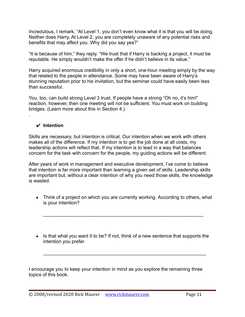Incredulous, I remark, "At Level 1, you don't even know what it is that you will be doing. Neither does Harry. At Level 2, you are completely unaware of any potential risks and benefits that may affect you. Why did you say yes?"

"It is because of him," they reply. "We trust that if Harry is backing a project, it must be reputable. He simply wouldn't make the offer if he didn't believe in its value."

Harry acquired enormous credibility in only a short, one-hour meeting simply by the way that related to the people in attendance. Some may have been aware of Harry's stunning reputation prior to his invitation, but the seminar could have easily been less than successful.

You, too, can build strong Level 3 trust. If people have a strong "Oh no, it's him!" reaction, however, then one meeting will not be sufficient. You must work on building bridges. (Learn more about this in Section 4.)

#### ✔ **Intention**

.

Skills are necessary, but intention is critical. Our intention when we work with others makes all of the difference. If my intention is to get the job done at all costs, my leadership actions will reflect that. If my intention is to lead in a way that balances concern for the task with concern for the people, my guiding actions will be different.

After years of work in management and executive development, I've come to believe that intention is far more important than learning a given set of skills. Leadership skills are important but, without a clear intention of why you need those skills, the knowledge is wasted.

• Think of a project on which you are currently working. According to others, what is your intention?

 $\mathcal{L}_\text{max}$  , and the contract of the contract of the contract of the contract of the contract of the contract of the contract of the contract of the contract of the contract of the contract of the contract of the contr

• Is that what you want it to be? If not, think of a new sentence that supports the intention you prefer.

 $\mathcal{L}_\text{max} = \mathcal{L}_\text{max} = \mathcal{L}_\text{max} = \mathcal{L}_\text{max} = \mathcal{L}_\text{max} = \mathcal{L}_\text{max} = \mathcal{L}_\text{max} = \mathcal{L}_\text{max} = \mathcal{L}_\text{max} = \mathcal{L}_\text{max} = \mathcal{L}_\text{max} = \mathcal{L}_\text{max} = \mathcal{L}_\text{max} = \mathcal{L}_\text{max} = \mathcal{L}_\text{max} = \mathcal{L}_\text{max} = \mathcal{L}_\text{max} = \mathcal{L}_\text{max} = \mathcal{$ 

I encourage you to keep your intention in mind as you explore the remaining three topics of this book.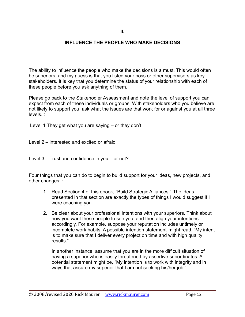#### **INFLUENCE THE PEOPLE WHO MAKE DECISIONS**

The ability to influence the people who make the decisions is a must. This would often be superiors, and my guess is that you listed your boss or other supervisors as key stakeholders. It is key that you determine the status of your relationship with each of these people before you ask anything of them.

Please go back to the Stakehodler Assessment and note the level of support you can expect from each of these individuals or groups. With stakeholders who you believe are not likely to support you, ask what the issues are that work for or against you at all three levels. :

Level 1 They get what you are saying – or they don't.

Level 2 – interested and excited or afraid

Level 3 – Trust and confidence in you – or not?

Four things that you can do to begin to build support for your ideas, new projects, and other changes: :

- 1. Read Section 4 of this ebook, "Build Strategic Alliances." The ideas presented in that section are exactly the types of things I would suggest if I were coaching you.
- 2. Be clear about your professional intentions with your superiors. Think about how you want these people to see you, and then align your intentions accordingly. For example, suppose your reputation includes untimely or incomplete work habits. A possible intention statement might read, "My intent is to make sure that I deliver every project on time and with high quality results."

In another instance, assume that you are in the more difficult situation of having a superior who is easily threatened by assertive subordinates. A potential statement might be, "My intention is to work with integrity and in ways that assure my superior that I am not seeking his/her job."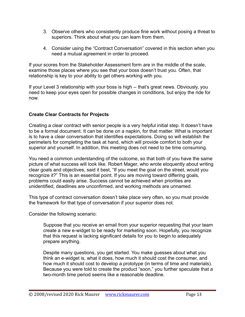- 3. Observe others who consistently produce fine work without posing a threat to superiors. Think about what you can learn from them.
- 4. Consider using the "Contract Conversation" covered in this section when you need a mutual agreement in order to proceed.

If your scores from the Stakeholder Assessment form are in the middle of the scale, examine those places where you see that your boss doesn't trust you. Often, that relationship is key to your ability to get others working with you.

If your Level 3 relationship with your boss is high -- that's great news. Obviously, you need to keep your eyes open for possible changes in conditions, but enjoy the ride for now.

#### **Create Clear Contracts for Projects**

Creating a clear contract with senior people is a very helpful initial step. It doesn't have to be a formal document. It can be done on a napkin, for that matter. What is important is to have a clear conversation that identifies expectations. Doing so will establish the perimeters for completing the task at hand, which will provide comfort to both your superior and yourself. In addition, this meeting does not need to be time consuming.

You need a common understanding of the outcome, so that both of you have the same picture of what success will look like. Robert Mager, who wrote eloquently about writing clear goals and objectives, said it best, "If you meet the goal on the street, would you recognize it?" This is an essential point. If you are moving toward differing goals, problems could easily arise. Success cannot be achieved when priorities are unidentified, deadlines are unconfirmed, and working methods are unnamed.

This type of contract conversation doesn't take place very often, so you must provide the framework for that type of conversation if your superior does not.

Consider the following scenario:

Suppose that you receive an email from your superior requesting that your team create a new e-widget to be ready for marketing soon. Hopefully, you recognize that this request is lacking significant details for you to begin to adequately prepare anything.

Despite many questions, you get started. You make guesses about what you think an e-widget is, what it does, how much it should cost the consumer, and how much it should cost to develop a prototype (in terms of time and materials). Because you were told to create the product "soon," you further speculate that a two-month time period seems like a reasonable deadline.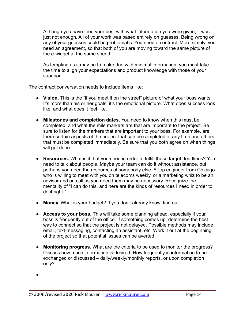Although you have tried your best with what information you were given, it was just not enough. All of your work was based entirely on guesses. Being wrong on any of your guesses could be problematic. You need a contract. More simply, you need an agreement, so that both of you are moving toward the same picture of the e-widget at the same speed.

As tempting as it may be to make due with minimal information, you must take the time to align your expectations and product knowledge with those of your superior.

The contract conversation needs to include items like:

- **Vision.** This is the "if you meet it on the street" picture of what your boss wants. It's more than his or her goals, it's the emotional picture. What does success look like, and what does it feel like.
- **Milestones and completion dates.** You need to know when this must be completed, and what the mile markers are that are important to the project. Be sure to listen for the markers that are important to your boss. For example, are there certain aspects of the project that can be completed at any time and others that must be completed immediately. Be sure that you both agree on when things will get done.
- **Resources.** What is it that you need in order to fulfill these target deadlines? You need to talk about people. Maybe your team can do it without assistance, but perhaps you need the resources of somebody else. A top engineer from Chicago who is willing to meet with you on telecoms weekly, or a marketing whiz to be an advisor and on call as you need them may be necessary. Recognize the mentality of "I can do this, and here are the kinds of resources I need in order to do it right."
- **Money.** What is your budget? If you don't already know, find out.
- **Access to your boss.** This will take some planning ahead, especially if your boss is frequently out of the office. If something comes up, determine the best way to connect so that the project is not delayed. Possible methods may include email, text-messaging, contacting an assistant, etc. Work it out at the beginning of the project so that potential issues can be averted.
- **Monitoring progress.** What are the criteria to be used to monitor the progress? Discuss how much information is desired. How frequently is information to be exchanged or discussed – daily/weekly/monthly reports, or upon completion only?

<sup>●</sup>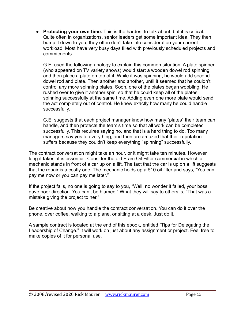● **Protecting your own time.** This is the hardest to talk about, but it is critical. Quite often in organizations, senior leaders get some important idea. They then bump it down to you, they often don't take into consideration your current workload. Most have very busy days filled with previously scheduled projects and commitments.

G.E. used the following analogy to explain this common situation. A plate spinner (who appeared on TV variety shows) would start a wooden dowel rod spinning, and then place a plate on top of it. While it was spinning, he would add second dowel rod and plate. Then another and another, until it seemed that he couldn't control any more spinning plates. Soon, one of the plates began wobbling. He rushed over to give it another spin, so that he could keep all of the plates spinning successfully at the same time. Adding even one more plate would send the act completely out of control. He knew exactly how many he could handle successfully.

G.E. suggests that each project manager know how many "plates" their team can handle, and then protects the team's time so that all work can be completed successfully. This requires saying no, and that is a hard thing to do. Too many managers say yes to everything, and then are amazed that their reputation suffers because they couldn't keep everything "spinning" successfully.

The contract conversation might take an hour, or it might take ten minutes. However long it takes, it is essential. Consider the old Fram Oil Filter commercial in which a mechanic stands in front of a car up on a lift. The fact that the car is up on a lift suggests that the repair is a costly one. The mechanic holds up a \$10 oil filter and says, "You can pay me now or you can pay me later."

If the project fails, no one is going to say to you, "Well, no wonder it failed, your boss gave poor direction. You can't be blamed." What they will say to others is, "That was a mistake giving the project to her."

Be creative about how you handle the contract conversation. You can do it over the phone, over coffee, walking to a plane, or sitting at a desk. Just do it.

A sample contract is located at the end of this ebook, entitled "Tips for Delegating the Leadership of Change." It will work on just about any assignment or project. Feel free to make copies of it for personal use.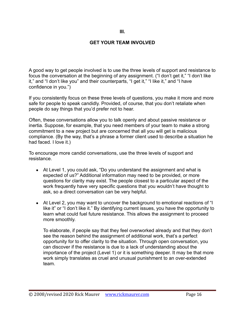#### **III.**

#### **GET YOUR TEAM INVOLVED**

A good way to get people involved is to use the three levels of support and resistance to focus the conversation at the beginning of any assignment. ("I don't get it," "I don't like it," and "I don't like you" and their counterparts, "I get it," "I like it," and "I have confidence in you.")

If you consistently focus on these three levels of questions, you make it more and more safe for people to speak candidly. Provided, of course, that you don't retaliate when people do say things that you'd prefer not to hear.

Often, these conversations allow you to talk openly and about passive resistance or inertia. Suppose, for example, that you need members of your team to make a strong commitment to a new project but are concerned that all you will get is malicious compliance. (By the way, that's a phrase a former client used to describe a situation he had faced. I love it.)

To encourage more candid conversations, use the three levels of support and resistance.

- At Level 1, you could ask, "Do you understand the assignment and what is expected of us?" Additional information may need to be provided, or more questions for clarity may exist. The people closest to a particular aspect of the work frequently have very specific questions that you wouldn't have thought to ask, so a direct conversation can be very helpful.
- At Level 2, you may want to uncover the background to emotional reactions of "I like it" or "I don't like it." By identifying current issues, you have the opportunity to learn what could fuel future resistance. This allows the assignment to proceed more smoothly.

To elaborate, if people say that they feel overworked already and that they don't see the reason behind the assignment of additional work, that's a perfect opportunity for to offer clarity to the situation. Through open conversation, you can discover if the resistance is due to a lack of understanding about the importance of the project (Level 1) or it is something deeper. It may be that more work simply translates as cruel and unusual punishment to an over-extended team.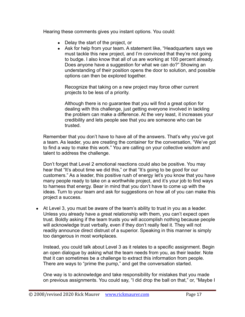Hearing these comments gives you instant options. You could:

- Delay the start of the project, or
- Ask for help from your team. A statement like, "Headquarters says we must tackle this new project, and I'm convinced that they're not going to budge. I also know that all of us are working at 100 percent already. Does anyone have a suggestion for what we can do?" Showing an understanding of their position opens the door to solution, and possible options can then be explored together.

Recognize that taking on a new project may force other current projects to be less of a priority.

Although there is no guarantee that you will find a great option for dealing with this challenge, just getting everyone involved in tackling the problem can make a difference. At the very least, it increases your credibility and lets people see that you are someone who can be trusted.

Remember that you don't have to have all of the answers. That's why you've got a team. As leader, you are creating the container for the conversation, "We've got to find a way to make this work." You are calling on your collective wisdom and talent to address the challenge.

Don't forget that Level 2 emotional reactions could also be positive. You may hear that "It's about time we did this," or that "It's going to be good for our customers." As a leader, this positive rush of energy let's you know that you have many people ready to take on a worthwhile project, and it's your job to find ways to harness that energy. Bear in mind that you don't have to come up with the ideas. Turn to your team and ask for suggestions on how all of you can make this project a success.

• At Level 3, you must be aware of the team's ability to trust in you as a leader. Unless you already have a great relationship with them, you can't expect open trust. Boldly asking if the team trusts you will accomplish nothing because people will acknowledge trust verbally, even if they don't really feel it. They will not readily announce direct distrust of a superior. Speaking in this manner is simply too dangerous in most workplaces.

Instead, you could talk about Level 3 as it relates to a specific assignment. Begin an open dialogue by asking what the team needs from you, as their leader. Note that it can sometimes be a challenge to extract this information from people. There are ways to "prime the pump," and get the conversation started.

One way is to acknowledge and take responsibility for mistakes that you made on previous assignments. You could say, "I did drop the ball on that," or, "Maybe I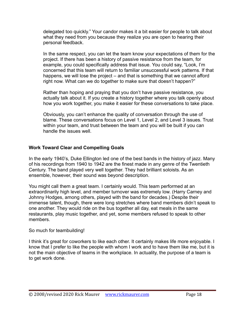delegated too quickly." Your candor makes it a bit easier for people to talk about what they need from you because they realize you are open to hearing their personal feedback.

In the same respect, you can let the team know your expectations of them for the project. If there has been a history of passive resistance from the team, for example, you could specifically address that issue. You could say, "Look, I'm concerned that this team will return to familiar unsuccessful work patterns. If that happens, we will lose the project – and that is something that we cannot afford right now. What can we do together to make sure that doesn't happen?"

Rather than hoping and praying that you don't have passive resistance, you actually talk about it. If you create a history together where you talk openly about how you work together, you make it easier for these conversations to take place.

Obviously, you can't enhance the quality of conversation through the use of blame. These conversations focus on Level 1, Level 2, and Level 3 issues. Trust within your team, and trust between the team and you will be built if you can handle the issues well.

#### **Work Toward Clear and Compelling Goals**

In the early 1940's, Duke Ellington led one of the best bands in the history of jazz. Many of his recordings from 1940 to 1942 are the finest made in any genre of the Twentieth Century. The band played very well together. They had brilliant soloists. As an ensemble, however, their sound was beyond description.

You might call them a great team. I certainly would. This team performed at an extraordinarily high level, and member turnover was extremely low. (Harry Carney and Johnny Hodges, among others, played with the band for decades.) Despite their immense talent, though, there were long stretches where band members didn't speak to one another. They would ride on the bus together all day, eat meals in the same restaurants, play music together, and yet, some members refused to speak to other members.

#### So much for teambuilding!

I think it's great for coworkers to like each other. It certainly makes life more enjoyable. I know that I prefer to like the people with whom I work and to have them like me, but it is not the main objective of teams in the workplace. In actuality, the purpose of a team is to get work done.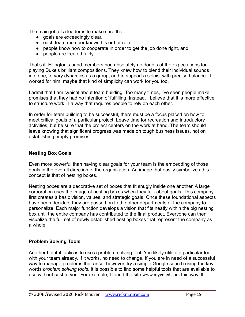The main job of a leader is to make sure that:

- goals are exceedingly clear,
- each team member knows his or her role.
- people know how to cooperate in order to get the job done right, and
- people are treated fairly.

That's it. Ellington's band members had absolutely no doubts of the expectations for playing Duke's brilliant compositions. They knew how to blend their individual sounds into one, to vary dynamics as a group, and to support a soloist with precise balance. If it worked for him, maybe that kind of simplicity can work for you too.

I admit that I am cynical about team building. Too many times, I've seen people make promises that they had no intention of fulfilling. Instead, I believe that it is more effective to structure work in a way that requires people to rely on each other.

In order for team building to be successful, there must be a focus placed on how to meet critical goals of a particular project. Leave time for recreation and introductory activities, but be sure that the project centers on the work at hand. The team should leave knowing that significant progress was made on tough business issues, not on establishing empty promises.

#### **Nesting Box Goals**

Even more powerful than having clear goals for your team is the embedding of those goals in the overall direction of the organization. An image that easily symbolizes this concept is that of nesting boxes.

Nesting boxes are a decorative set of boxes that fit snugly inside one another. A large corporation uses the image of nesting boxes when they talk about goals. This company first creates a basic vision, values, and strategic goals. Once these foundational aspects have been decided, they are passed on to the other departments of the company to personalize. Each major function develops a vision that fits neatly within the big nesting box until the entire company has contributed to the final product. Everyone can then visualize the full set of newly established nesting boxes that represent the company as a whole.

#### **Problem Solving Tools**

Another helpful tactic is to use a problem-solving tool. You likely utilize a particular tool with your team already. If it works, no need to change. If you are in need of a successful way to manage problems that arise, however, try a simple Google search using the key words *problem solving tools*. It is possible to find some helpful tools that are available to use without cost to you. For example, I found the site www.mycoted.com this way. It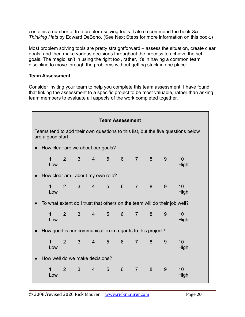contains a number of free problem-solving tools. I also recommend the book *Six Thinking Hats* by Edward DeBono. (See Next Steps for more information on this book.)

Most problem solving tools are pretty straightforward – assess the situation, create clear goals, and then make various decisions throughout the process to achieve the set goals. The magic isn't in using the right tool, rather, it's in having a common team discipline to move through the problems without getting stuck in one place.

#### **Team Assessment**

Consider inviting your team to help you complete this team assessment. I have found that linking the assessment to a specific project to be most valuable, rather than asking team members to evaluate all aspects of the work completed together.

| <b>Team Assessment</b>                                                                                |                                                                           |                |                |                |                 |                  |                |          |   |            |
|-------------------------------------------------------------------------------------------------------|---------------------------------------------------------------------------|----------------|----------------|----------------|-----------------|------------------|----------------|----------|---|------------|
| Teams tend to add their own questions to this list, but the five questions below<br>are a good start. |                                                                           |                |                |                |                 |                  |                |          |   |            |
| $\bullet$                                                                                             | How clear are we about our goals?                                         |                |                |                |                 |                  |                |          |   |            |
|                                                                                                       | $\mathbf{1}$<br>Low                                                       | 2 <sup>1</sup> | 3 <sup>7</sup> | $\overline{4}$ | $5\overline{)}$ | 6                |                | $7 \t 8$ | 9 | 10<br>High |
|                                                                                                       | How clear am I about my own role?                                         |                |                |                |                 |                  |                |          |   |            |
|                                                                                                       | $\mathbf{1}$<br>Low                                                       | 2 <sup>1</sup> | 3 <sup>7</sup> | $\overline{4}$ | 5 <sup>5</sup>  | $6 \overline{6}$ | $\overline{7}$ | 8        | 9 | 10<br>High |
|                                                                                                       | To what extent do I trust that others on the team will do their job well? |                |                |                |                 |                  |                |          |   |            |
|                                                                                                       | $\mathbf{1}$<br>Low                                                       | $\overline{2}$ | 3 <sup>1</sup> | $4 \quad$      | $5 -$           | $6 \overline{6}$ | $\overline{7}$ | 8        | 9 | 10<br>High |
| How good is our communication in regards to this project?                                             |                                                                           |                |                |                |                 |                  |                |          |   |            |
|                                                                                                       | $\mathbf{1}$<br>Low                                                       | $\overline{2}$ | 3 <sup>1</sup> | $\overline{4}$ | $5\overline{)}$ | 6                | $\overline{7}$ | 8        | 9 | 10<br>High |
|                                                                                                       | How well do we make decisions?                                            |                |                |                |                 |                  |                |          |   |            |
|                                                                                                       | $\mathbf{1}$<br>Low                                                       | 2 <sup>1</sup> | 3 <sup>7</sup> | $\overline{4}$ | $5\phantom{1}$  | $6\phantom{1}$   | $\overline{7}$ | 8        | 9 | 10<br>High |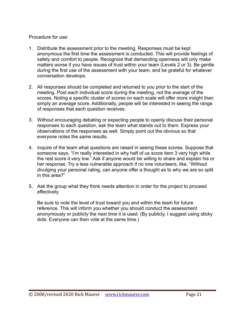#### Procedure for use:

- 1. Distribute the assessment prior to the meeting. Responses must be kept anonymous the first time the assessment is conducted. This will provide feelings of safety and comfort to people. Recognize that demanding openness will only make matters worse if you have issues of trust within your team (Levels 2 or 3). Be gentle during the first use of the assessment with your team, and be grateful for whatever conversation develops.
- 2. All responses should be completed and returned to you prior to the start of the meeting. Post each individual score during the meeting, not the average of the scores. Noting a specific cluster of scores on each scale will offer more insight than simply an average score. Additionally, people will be interested in seeing the range of responses that each question receives.
- 3. Without encouraging debating or expecting people to openly discuss their personal responses to each question, ask the team what stands out to them. Express your observations of the responses as well. Simply point out the obvious so that everyone notes the same results.
- 4. Inquire of the team what questions are raised in seeing these scores. Suppose that someone says, "I'm really interested in why half of us score item 3 very high while the rest score it very low." Ask if anyone would be willing to share and explain his or her response. Try a less vulnerable approach if no one volunteers, like, "Without divulging your personal rating, can anyone offer a thought as to why we are so split in this area?"
- 5. Ask the group what they think needs attention in order for the project to proceed effectively.

Be sure to note the level of trust toward you and within the team for future reference. This will inform you whether you should conduct the assessment anonymously or publicly the next time it is used. (By publicly, I suggest using sticky dots. Everyone can then vote at the same time.)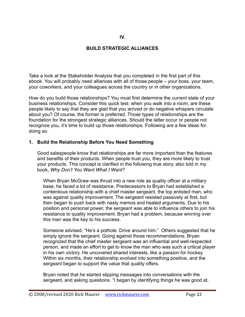#### **IV.**

#### **BUILD STRATEGIC ALLIANCES**

Take a look at the Stakeholder Analysis that you completed in the first part of this ebook. You will probably need alliances with all of those people – your boss, your team, your coworkers, and your colleagues across the country or in other organizations.

How do you build those relationships? You must first determine the current state of your business relationships. Consider this quick test: when you walk into a room, are these people likely to say that they are glad that you arrived or do negative whispers circulate about you? Of course, the former is preferred. Those types of relationships are the foundation for the strongest strategic alliances. Should the latter occur or people not recognize you, it's time to build up those relationships. Following are a few ideas for doing so.

#### **1. Build the Relationship Before You Need Something**

Good salespeople know that relationships are far more important than the features and benefits of their products. When people trust you, they are more likely to trust your products. This concept is clarified in the following true story, also told in my book, *Why Don't You Want What I Want?*

When Bryan McGraw was thrust into a new role as quality officer at a military base, he faced a lot of resistance. Predecessors to Bryan had established a contentious relationship with a chief master sergeant, the top enlisted man, who was against quality improvement. The sergeant resisted passively at first, but then began to push back with nasty memos and heated arguments. Due to his position and personal power, the sergeant was able to influence others to join his resistance to quality improvement. Bryan had a problem, because winning over this man was the key to his success.

Someone advised, "He's a pothole. Drive around him." Others suggested that he simply ignore the sergeant. Going against those recommendations, Bryan recognized that the chief master sergeant was an influential and well-respected person, and made an effort to get to know the man who was such a critical player in his own victory. He uncovered shared interests, like a passion for hockey. Within six months, their relationship evolved into something positive, and the sergeant began to support the value that quality offers.

Bryan noted that he started slipping messages into conversations with the sergeant, and asking questions. "I began by identifying things he was good at,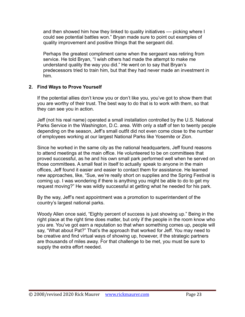and then showed him how they linked to quality initiatives — picking where I could see potential battles won." Bryan made sure to point out examples of quality improvement and positive things that the sergeant did.

Perhaps the greatest compliment came when the sergeant was retiring from service. He told Bryan, "I wish others had made the attempt to make me understand quality the way you did." He went on to say that Bryan's predecessors tried to train him, but that they had never made an investment in him.

#### **2. Find Ways to Prove Yourself**

If the potential allies don't know you or don't like you, you've got to show them that you are worthy of their trust. The best way to do that is to work with them, so that they can see you in action.

Jeff (not his real name) operated a small installation controlled by the U.S. National Parks Service in the Washington, D.C. area. With only a staff of ten to twenty people depending on the season, Jeff's small outfit did not even come close to the number of employees working at our largest National Parks like Yosemite or Zion.

Since he worked in the same city as the national headquarters, Jeff found reasons to attend meetings at the main office. He volunteered to be on committees that proved successful, as he and his own small park performed well when he served on those committees. A small feat in itself to actually speak to anyone in the main offices, Jeff found it easier and easier to contact them for assistance. He learned new approaches, like, "Sue, we're really short on supplies and the Spring Festival is coming up. I was wondering if there is anything you might be able to do to get my request moving?" He was wildly successful at getting what he needed for his park.

By the way, Jeff's next appointment was a promotion to superintendent of the country's largest national parks.

Woody Allen once said, "Eighty percent of success is just showing up." Being in the right place at the right time does matter, but only if the people in the room know who you are. You've got earn a reputation so that when something comes up, people will say, "What about Pat?" That's the approach that worked for Jeff. You may need to be creative and find virtual ways of showing up, however, if the strategic partners are thousands of miles away. For that challenge to be met, you must be sure to supply the extra effort needed.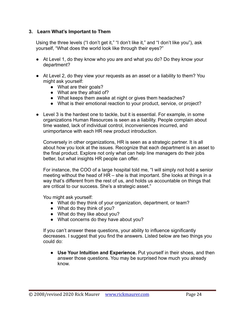#### **3. Learn What's Important to Them**

Using the three levels ("I don't get it," "I don't like it," and "I don't like you"), ask yourself, "What does the world look like through their eyes?"

- At Level 1, do they know who you are and what you do? Do they know your department?
- At Level 2, do they view your requests as an asset or a liability to them? You might ask yourself:
	- What are their goals?
	- What are they afraid of?
	- What keeps them awake at night or gives them headaches?
	- What is their emotional reaction to your product, service, or project?
- Level 3 is the hardest one to tackle, but it is essential. For example, in some organizations Human Resources is seen as a liability. People complain about time wasted, lack of individual control, inconveniences incurred, and unimportance with each HR new product introduction.

Conversely in other organizations, HR is seen as a strategic partner. It is all about how you look at the issues. Recognize that each department is an asset to the final product. Explore not only what can help line managers do their jobs better, but what insights HR people can offer.

For instance, the COO of a large hospital told me, "I will simply not hold a senior meeting without the head of HR – she is that important. She looks at things in a way that's different from the rest of us, and holds us accountable on things that are critical to our success. She's a strategic asset."

You might ask yourself:

- What do they think of your organization, department, or team?
- What do they think of you?
- What do they like about you?
- What concerns do they have about you?

If you can't answer these questions, your ability to influence significantly decreases. I suggest that you find the answers. Listed below are two things you could do:

● **Use Your Intuition and Experience.** Put yourself in their shoes, and then answer those questions. You may be surprised how much you already know.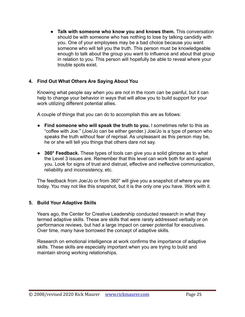● **Talk with someone who know you and knows them.** This conversation should be with someone who has nothing to lose by talking candidly with you. One of your employees may be a bad choice because you want someone who will tell you the truth. This person must be knowledgeable enough to talk about the group you want to influence and about that group in relation to you. This person will hopefully be able to reveal where your trouble spots exist.

#### **4. Find Out What Others Are Saying About You**

Knowing what people say when you are not in the room can be painful, but it can help to change your behavior in ways that will allow you to build support for your work utilizing different potential allies.

A couple of things that you can do to accomplish this are as follows:

- **Find someone who will speak the truth to you.** I sometimes refer to this as "coffee with Joe." (Joe/Jo can be either gender.) Joe/Jo is a type of person who speaks the truth without fear of reprisal. As unpleasant as this person may be, he or she will tell you things that others dare not say.
- **● 360° Feedback.** These types of tools can give you a solid glimpse as to what the Level 3 issues are. Remember that this level can work both for and against you. Look for signs of trust and distrust, effective and ineffective communication, reliability and inconsistency, etc.

The feedback from Joe/Jo or from 360° will give you a snapshot of where you are today. You may not like this snapshot, but it is the only one you have. Work with it.

#### **5. Build Your Adaptive Skills**

Years ago, the Center for Creative Leadership conducted research in what they termed adaptive skills. These are skills that were rarely addressed verbally or on performance reviews, but had a large impact on career potential for executives. Over time, many have borrowed the concept of adaptive skills.

Research on emotional intelligence at work confirms the importance of adaptive skills. These skills are especially important when you are trying to build and maintain strong working relationships.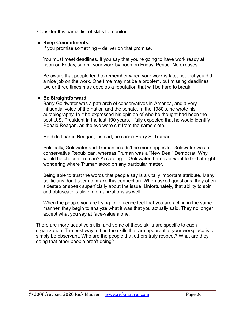Consider this partial list of skills to monitor:

#### ● **Keep Commitments.**

If you promise something – deliver on that promise.

You must meet deadlines. If you say that you're going to have work ready at noon on Friday, submit your work by noon on Friday. Period. No excuses.

Be aware that people tend to remember when your work is late, not that you did a nice job on the work. One time may not be a problem, but missing deadlines two or three times may develop a reputation that will be hard to break.

#### **● Be Straightforward.**

Barry Goldwater was a patriarch of conservatives in America, and a very influential voice of the nation and the senate. In the 1980's, he wrote his autobiography. In it he expressed his opinion of who he thought had been the best U.S. President in the last 100 years. I fully expected that he would identify Ronald Reagan, as the two were cut from the same cloth.

He didn't name Reagan, instead, he chose Harry S. Truman.

Politically, Goldwater and Truman couldn't be more opposite. Goldwater was a conservative Republican, whereas Truman was a "New Deal" Democrat. Why would he choose Truman? According to Goldwater, he never went to bed at night wondering where Truman stood on any particular matter.

Being able to trust the words that people say is a vitally important attribute. Many politicians don't seem to make this connection. When asked questions, they often sidestep or speak superficially about the issue. Unfortunately, that ability to spin and obfuscate is alive in organizations as well.

When the people you are trying to influence feel that you are acting in the same manner, they begin to analyze what it was that you actually said. They no longer accept what you say at face-value alone.

There are more adaptive skills, and some of those skills are specific to each organization. The best way to find the skills that are apparent at your workplace is to simply be observant. Who are the people that others truly respect? What are they doing that other people aren't doing?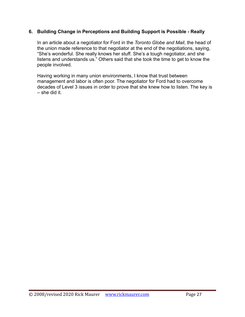#### **6. Building Change in Perceptions and Building Support is Possible - Really**

In an article about a negotiator for Ford in the *Toronto Globe and Mail*, the head of the union made reference to that negotiator at the end of the negotiations, saying, "She's wonderful. She really knows her stuff. She's a tough negotiator, and she listens and understands us." Others said that she took the time to get to know the people involved.

Having working in many union environments, I know that trust between management and labor is often poor. The negotiator for Ford had to overcome decades of Level 3 issues in order to prove that she knew how to listen. The key is – she did it.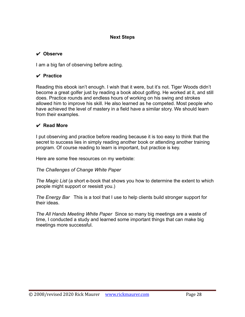#### **Next Steps**

#### ✔ **Observe**

I am a big fan of observing before acting.

#### ✔ **Practice**

Reading this ebook isn't enough. I wish that it were, but it's not. Tiger Woods didn't become a great golfer just by reading a book about golfing. He worked at it, and still does. Practice rounds and endless hours of working on his swing and strokes allowed him to improve his skill. He also learned as he competed. Most people who have achieved the level of mastery in a field have a similar story. We should learn from their examples.

#### ✔ **Read More**

I put observing and practice before reading because it is too easy to think that the secret to success lies in simply reading another book or attending another training program. Of course reading to learn is important, but practice is key.

Here are some free resources on my werbiste:

#### *The Challenges of Change White Paper*

*The Magic List* (a short e-book that shows you how to determine the extent to which people might support or reesistt you.)

*The Energy Bar* This is a tool that I use to help clients build stronger support for their ideas.

*The All Hands Meeting White Paper* Since so many big meetings are a waste of time, I conducted a study and learned some important things that can make big meetings more successful.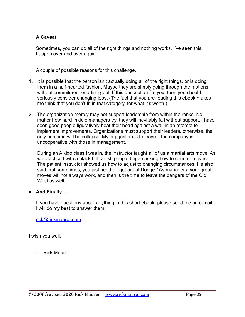#### **A Caveat**

Sometimes, you can do all of the right things and nothing works. I've seen this happen over and over again.

A couple of possible reasons for this challenge.

- 1. It is possible that the person isn't actually doing all of the right things, or is doing them in a half-hearted fashion. Maybe they are simply going through the motions without commitment or a firm goal. If this description fits you, then you should seriously consider changing jobs. (The fact that you are reading this ebook makes me think that you don't fit in that category, for what it's worth.)
- 2. The organization merely may not support leadership from within the ranks. No matter how hard middle managers try, they will inevitably fail without support. I have seen good people figuratively beat their head against a wall in an attempt to implement improvements. Organizations must support their leaders, otherwise, the only outcome will be collapse. My suggestion is to leave if the company is uncooperative with those in management.

During an Aikido class I was in, the instructor taught all of us a martial arts move. As we practiced with a black belt artist, people began asking how to counter moves. The patient instructor showed us how to adjust to changing circumstances. He also said that sometimes, you just need to "get out of Dodge." As managers, your great moves will not always work, and then is the time to leave the dangers of the Old West as well.

**● And Finally. . .**

If you have questions about anything in this short ebook, please send me an e-mail. I will do my best to answer them.

[rick@rickmaurer.com](mailto:rick@rickmaurer.com)

I wish you well.

- Rick Maurer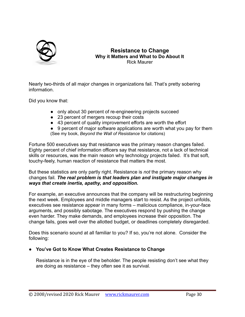

#### **Resistance to Change Why it Matters and What to Do About It** Rick Maurer

Nearly two-thirds of all major changes in organizations fail. That's pretty sobering information.

Did you know that:

- only about 30 percent of re-engineering projects succeed
- 23 percent of mergers recoup their costs
- 43 percent of quality improvement efforts are worth the effort

• 9 percent of major software applications are worth what you pay for them (See my book, *Beyond the Wall of Resistance* for citations)

Fortune 500 executives say that resistance was the primary reason changes failed. Eighty percent of chief information officers say that resistance, not a lack of technical skills or resources, was the main reason why technology projects failed. It's that soft, touchy-feely, human reaction of resistance that matters the most.

But these statistics are only partly right. Resistance is *not* the primary reason why changes fail*. The real problem is that leaders plan and instigate major changes in ways that create inertia, apathy, and opposition.*

For example, an executive announces that the company will be restructuring beginning the next week. Employees and middle managers start to resist. As the project unfolds, executives see resistance appear in many forms – malicious compliance, in-your-face arguments, and possibly sabotage. The executives respond by pushing the change even harder. They make demands, and employees increase their opposition. The change fails, goes well over the allotted budget, or deadlines completely disregarded.

Does this scenario sound at all familiar to you? If so, you're not alone. Consider the following:

#### **● You've Got to Know What Creates Resistance to Change**

Resistance is in the eye of the beholder. The people resisting don't see what they are doing as resistance – they often see it as survival.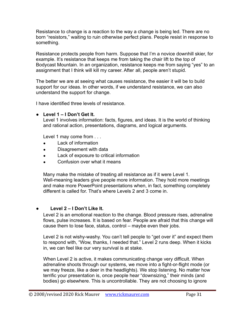Resistance to change is a reaction to the way a change is being led. There are no born "resistors," waiting to ruin otherwise perfect plans. People resist in response to something.

Resistance protects people from harm. Suppose that I'm a novice downhill skier, for example. It's resistance that keeps me from taking the chair lift to the top of Bodycast Mountain. In an organization, resistance keeps me from saying "yes" to an assignment that I think will kill my career. After all, people aren't stupid.

The better we are at seeing what causes resistance, the easier it will be to build support for our ideas. In other words, if we understand resistance, we can also understand the support for change.

I have identified three levels of resistance.

#### **● Level 1 – I Don't Get It.**

Level 1 involves information: facts, figures, and ideas. It is the world of thinking and rational action, presentations, diagrams, and logical arguments.

Level 1 may come from . . .

- Lack of information
- Disagreement with data
- Lack of exposure to critical information
- Confusion over what it means

Many make the mistake of treating all resistance as if it were Level 1. Well-meaning leaders give people more information. They hold more meetings and make more PowerPoint presentations when, in fact, something completely different is called for. That's where Levels 2 and 3 come in.

#### **● Level 2 – I Don't Like It.**

Level 2 is an emotional reaction to the change. Blood pressure rises, adrenaline flows, pulse increases. It is based on fear. People are afraid that this change will cause them to lose face, status, control – maybe even their jobs.

Level 2 is not wishy-washy. You can't tell people to "get over it" and expect them to respond with, "Wow, thanks, I needed that." Level 2 runs deep. When it kicks in, we can feel like our very survival is at stake.

When Level 2 is active, it makes communicating change very difficult. When adrenaline shoots through our systems, we move into a fight-or-flight mode (or we may freeze, like a deer in the headlights). We stop listening. No matter how terrific your presentation is, once people hear "downsizing," their minds (and bodies) go elsewhere. This is uncontrollable. They are not choosing to ignore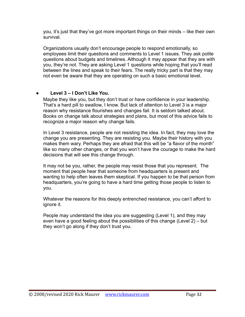you, it's just that they've got more important things on their minds – like their own survival.

Organizations usually don't encourage people to respond emotionally, so employees limit their questions and comments to Level 1 issues. They ask polite questions about budgets and timelines. Although it may appear that they are with you, they're not. They are asking Level 1 questions while hoping that you'll read between the lines and speak to their fears. The really tricky part is that they may not even be aware that they are operating on such a basic emotional level.

#### **● Level 3 – I Don't Like You.**

Maybe they like you, but they don't trust or have confidence in your leadership. That's a hard pill to swallow, I know. But lack of attention to Level 3 is a major reason why resistance flourishes and changes fail. It is seldom talked about. Books on change talk about strategies and plans, but most of this advice fails to recognize a major reason why change fails.

In Level 3 resistance, people are not resisting the idea. In fact, they may love the change you are presenting. They are resisting you. Maybe their history with you makes them wary. Perhaps they are afraid that this will be "a flavor of the month" like so many other changes, or that you won't have the courage to make the hard decisions that will see this change through.

It may not be you, rather, the people may resist those that you represent. The moment that people hear that someone from headquarters is present and wanting to help often leaves them skeptical. If you happen to be that person from headquarters, you're going to have a hard time getting those people to listen to you.

Whatever the reasons for this deeply entrenched resistance, you can't afford to ignore it.

People may understand the idea you are suggesting (Level 1), and they may even have a good feeling about the possibilities of this change (Level 2) – but they won't go along if they don't trust you.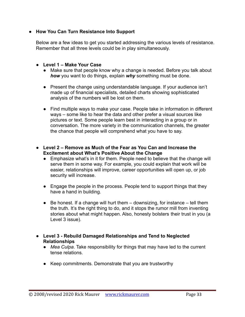#### **● How You Can Turn Resistance Into Support**

Below are a few ideas to get you started addressing the various levels of resistance. Remember that all three levels could be in play simultaneously.

- **● Level 1 Make Your Case**
	- Make sure that people know why a change is needed. Before you talk about *how* you want to do things, explain *why* something must be done.
	- Present the change using understandable language. If your audience isn't made up of financial specialists, detailed charts showing sophisticated analysis of the numbers will be lost on them.
	- Find multiple ways to make your case. People take in information in different ways – some like to hear the data and other prefer a visual sources like pictures or text. Some people learn best in interacting in a group or in conversation. The more variety in the communication channels, the greater the chance that people will comprehend what you have to say.
- **● Level 2 Remove as Much of the Fear as You Can and Increase the Excitement about What's Positive About the Change**
	- Emphasize what's in it for them. People need to believe that the change will serve them in some way. For example, you could explain that work will be easier, relationships will improve, career opportunities will open up, or job security will increase.
	- Engage the people in the process. People tend to support things that they have a hand in building.
	- $\bullet$  Be honest. If a change will hurt them  $-$  downsizing, for instance  $-$  tell them the truth. It's the right thing to do, and it stops the rumor mill from inventing stories about what might happen. Also, honesty bolsters their trust in you (a Level 3 issue).
- **● Level 3 Rebuild Damaged Relationships and Tend to Neglected Relationships**
	- *Mea Culpa*. Take responsibility for things that may have led to the current tense relations.
	- Keep commitments. Demonstrate that you are trustworthy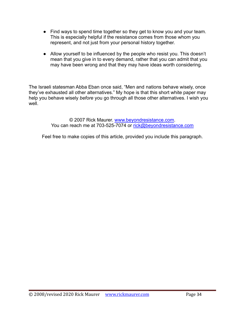- Find ways to spend time together so they get to know you and your team. This is especially helpful if the resistance comes from those whom you represent, and not just from your personal history together.
- Allow yourself to be influenced by the people who resist you. This doesn't mean that you give in to every demand, rather that you can admit that you may have been wrong and that they may have ideas worth considering.

The Israeli statesman Abba Eban once said, "Men and nations behave wisely, once they've exhausted all other alternatives." My hope is that this short white paper may help you behave wisely *before* you go through all those other alternatives. I wish you well.

> © 2007 Rick Maurer. [www.beyondresistance.com](http://www.beyondresistance.com). You can reach me at 703-525-7074 or [rick@beyondresistance.com](mailto:rick@beyondresistance.com)

Feel free to make copies of this article, provided you include this paragraph.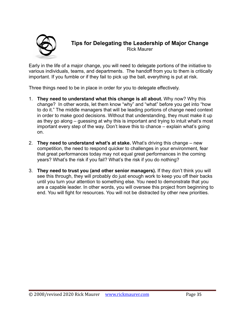

# **Tips for Delegating the Leadership of Major Change**

Rick Maurer

Early in the life of a major change, you will need to delegate portions of the initiative to various individuals, teams, and departments. The handoff from you to them is critically important. If you fumble or if they fail to pick up the ball, everything is put at risk.

Three things need to be in place in order for you to delegate effectively.

- 1. **They need to understand what this change is all about.** Why now? Why this change? In other words, let them know "why" and "what" before you get into "how to do it." The middle managers that will be leading portions of change need context in order to make good decisions. Without that understanding, they must make it up as they go along – guessing at why this is important and trying to intuit what's most important every step of the way. Don't leave this to chance – explain what's going on.
- 2. **They need to understand what's at stake.** What's driving this change new competition, the need to respond quicker to challenges in your environment, fear that great performances today may not equal great performances in the coming years? What's the risk if you fail? What's the risk if you do nothing?
- 3. **They need to trust you (and other senior managers).** If they don't think you will see this through, they will probably do just enough work to keep you off their backs until you turn your attention to something else. You need to demonstrate that you are a capable leader. In other words, you will oversee this project from beginning to end. You will fight for resources. You will not be distracted by other new priorities.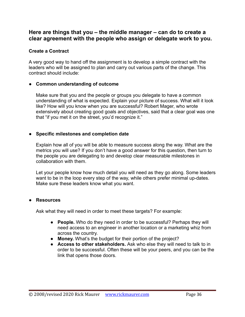#### **Here are things that you – the middle manager – can do to create a clear agreement with the people who assign or delegate work to you.**

#### **Create a Contract**

A very good way to hand off the assignment is to develop a simple contract with the leaders who will be assigned to plan and carry out various parts of the change. This contract should include:

#### ● **Common understanding of outcome**

Make sure that you and the people or groups you delegate to have a common understanding of what is expected. Explain your picture of success. What will it look like? How will you know when you are successful? Robert Mager, who wrote extensively about creating good goals and objectives, said that a clear goal was one that "if you met it on the street, you'd recognize it."

#### **● Specific milestones and completion date**

Explain how all of you will be able to measure success along the way. What are the metrics you will use? If you don't have a good answer for this question, then turn to the people you are delegating to and develop clear measurable milestones in collaboration with them.

Let your people know how much detail you will need as they go along. Some leaders want to be in the loop every step of the way, while others prefer minimal up-dates. Make sure these leaders know what you want.

#### **● Resources**

Ask what they will need in order to meet these targets? For example:

- **People.** Who do they need in order to be successful? Perhaps they will need access to an engineer in another location or a marketing whiz from across the country.
- **Money.** What's the budget for their portion of the project?
- **Access to other stakeholders.** Ask who else they will need to talk to in order to be successful. Often these will be your peers, and you can be the link that opens those doors.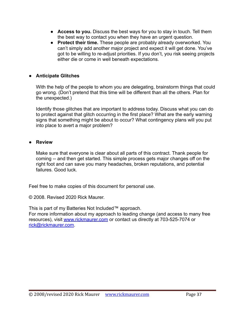- **Access to you.** Discuss the best ways for you to stay in touch. Tell them the best way to contact you when they have an urgent question.
- **Protect their time.** These people are probably already overworked. You can't simply add another major project and expect it will get done. You've got to be willing to re-adjust priorities. If you don't, you risk seeing projects either die or come in well beneath expectations.

#### **● Anticipate Glitches**

With the help of the people to whom you are delegating, brainstorm things that could go wrong. (Don't pretend that this time will be different than all the others. Plan for the unexpected.)

Identify those glitches that are important to address today. Discuss what you can do to protect against that glitch occurring in the first place? What are the early warning signs that something might be about to occur? What contingency plans will you put into place to avert a major problem?

#### **● Review**

Make sure that everyone is clear about all parts of this contract. Thank people for coming -- and then get started. This simple process gets major changes off on the right foot and can save you many headaches, broken reputations, and potential failures. Good luck.

Feel free to make copies of this document for personal use.

© 2008. Revised 2020 Rick Maurer.

This is part of my Batteries Not Included™ approach.

For more information about my approach to leading change (and access to many free resources), visit [www.rickmaurer.com](http://www.rickmaurer.com) or contact us directly at 703-525-7074 or [rick@rickmaurer.com.](mailto:rick@rickmaurer.com)